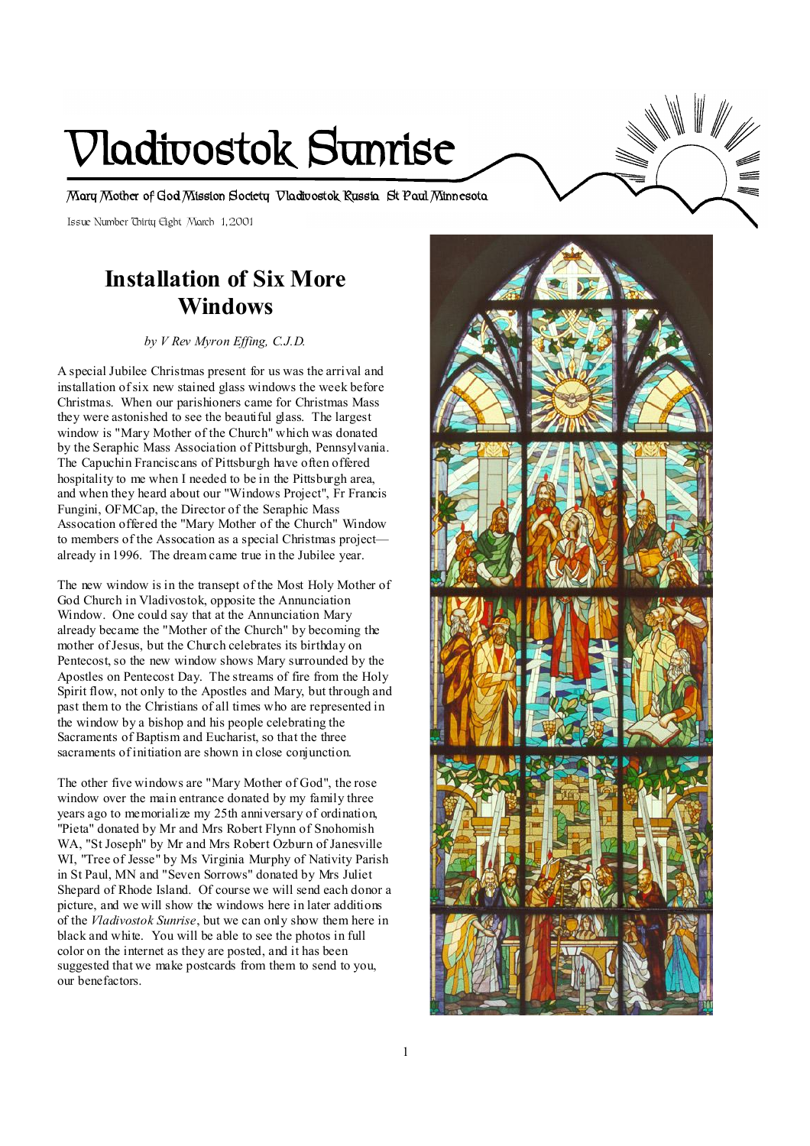# **Vladivostok Sunrise**

**Mary Mother of God Mission Society Vladivostok Russia St Paul Minnesota** 

Issue Number Thirty Eight March 1, 2001

# **Installation of Six More Windows**

*by V Rev Myron Effing, C.J.D.* 

A special Jubilee Christmas present for us was the arrival and installation ofsix new stained glass windows the week before Christmas. When our parishioners came for Christmas Mass they were astonished to see the beautiful glass. The largest window is "Mary Mother of the Church" which was donated by the Seraphic Mass Association of Pittsburgh, Pennsylvania. The Capuchin Franciscans of Pittsburgh have often offered hospitality to me when I needed to be in the Pittsburgh area, and when they heard about our "Windows Project", Fr Francis Fungini, OFMCap, the Director of the Seraphic Mass Assocation offered the "Mary Mother of the Church" Window to members of the Assocation as a special Christmas project already in 1996. The dream came true in the Jubilee year.

The new window is in the transept of the Most Holy Mother of God Church in Vladivostok, opposite the Annunciation Window. One could say that at the Annunciation Mary already became the "Mother of the Church" by becoming the mother ofJesus, but the Church celebrates its birthday on Pentecost, so the new window shows Mary surrounded by the Apostles on Pentecost Day. The streams of fire from the Holy Spirit flow, not only to the Apostles and Mary, but through and past them to the Christians of all times who are represented in the window by a bishop and his people celebrating the Sacraments of Baptism and Eucharist, so that the three sacraments of initiation are shown in close conjunction.

The other five windows are "Mary Mother of God", the rose window over the main entrance donated by my family three years ago to memorialize my 25th anniversary of ordination, "Pieta" donated by Mr and Mrs Robert Flynn of Snohomish WA. "St Joseph" by Mr and Mrs Robert Ozburn of Janesville WI, "Tree of Jesse" by Ms Virginia Murphy of Nativity Parish in St Paul, MN and "Seven Sorrows" donated by Mrs Juliet Shepard of Rhode Island. Of course we will send each donor a picture, and we will show the windows here in later additions of the *Vladivostok Sunrise*, but we can only show them here in black and white. You will be able to see the photos in full color on the internet as they are posted, and it has been suggested that we make postcards from them to send to you, our benefactors.

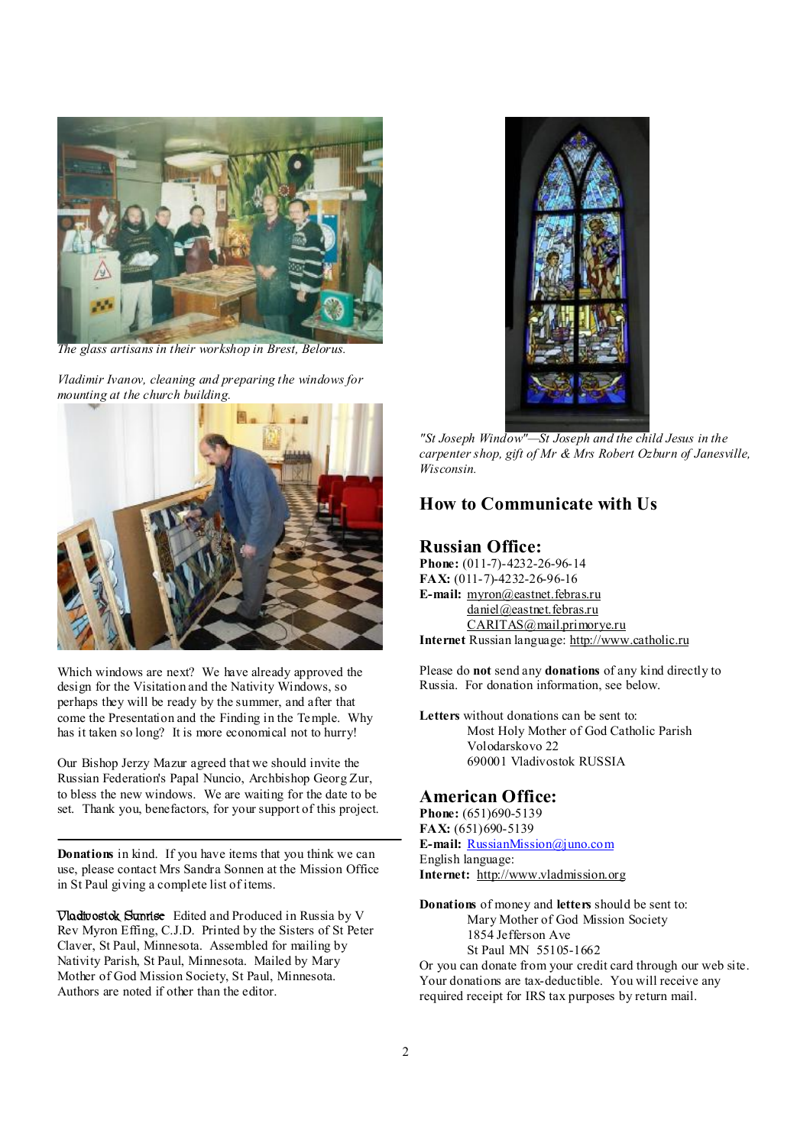

*The glass artisans in their workshop in Brest, Belorus.* 

*Vladimir Ivanov, cleaning and preparing the windows for mounting at the church building.* 



Which windows are next? We have already approved the design for the Visitation and the Nativity Windows, so perhaps they will be ready by the summer, and after that come the Presentation and the Finding in the Temple. Why has it taken so long? It is more economical not to hurry!

Our Bishop Jerzy Mazur agreed that we should invite the Russian Federation's Papal Nuncio, Archbishop Georg Zur, to bless the new windows. We are waiting for the date to be set. Thank you, benefactors, for your support of this project.

**Donations** in kind. If you have items that you think we can use, please contact Mrs Sandra Sonnen at the Mission Office in St Paul giving a complete list of items.

**Vladivostok Sunrise** Edited and Produced in Russia by V Rev Myron Effing, C.J.D. Printed by the Sisters of St Peter Claver, St Paul, Minnesota. Assembled for mailing by Nativity Parish, St Paul, Minnesota. Mailed by Mary Mother of God Mission Society, St Paul, Minnesota. Authors are noted if other than the editor.



*"St Joseph Window"—St Joseph and the child Jesus in the carpenter shop, gift of Mr & Mrs Robert Ozburn of Janesville, Wisconsin.* 

## **How to Communicate with Us**

#### **Russian Office:**

 $\overline{a}$ 

**Phone:** (011-7)-4232-26-96-14 **FAX:** (011-7)-4232-26-96-16 **E-mail:** [myron@eastnet.febras.ru](mailto:myron@eastnet.febras.ru) [daniel@eastnet.febras.ru](mailto:daniel@eastnet.febras.ru) [CARITAS@mail.primorye.ru](mailto:CARITAS@mail.primorye.ru) **Internet** Russian language: <http://www.catholic.ru>

Please do **not** send any **donations** of any kind directly to Russia. For donation information, see below.

**Letters** without donations can be sent to: Most Holy Mother of God Catholic Parish Volodarskovo 22 690001 Vladivostok RUSSIA

#### **American Office:**

**Phone:** (651)690-5139 **FAX:** (651)690-5139 **E-mail:** [RussianMission@juno.com](mailto:RussianMission@juno.com) English language: **Internet:** <http://www.vladmission.org>

**Donations** of money and **letters** should be sent to: Mary Mother of God Mission Society 1854 Jefferson Ave St Paul MN 55105-1662 Or you can donate from your credit card through our web site.

Your donations are tax-deductible. You will receive any required receipt for IRS tax purposes by return mail.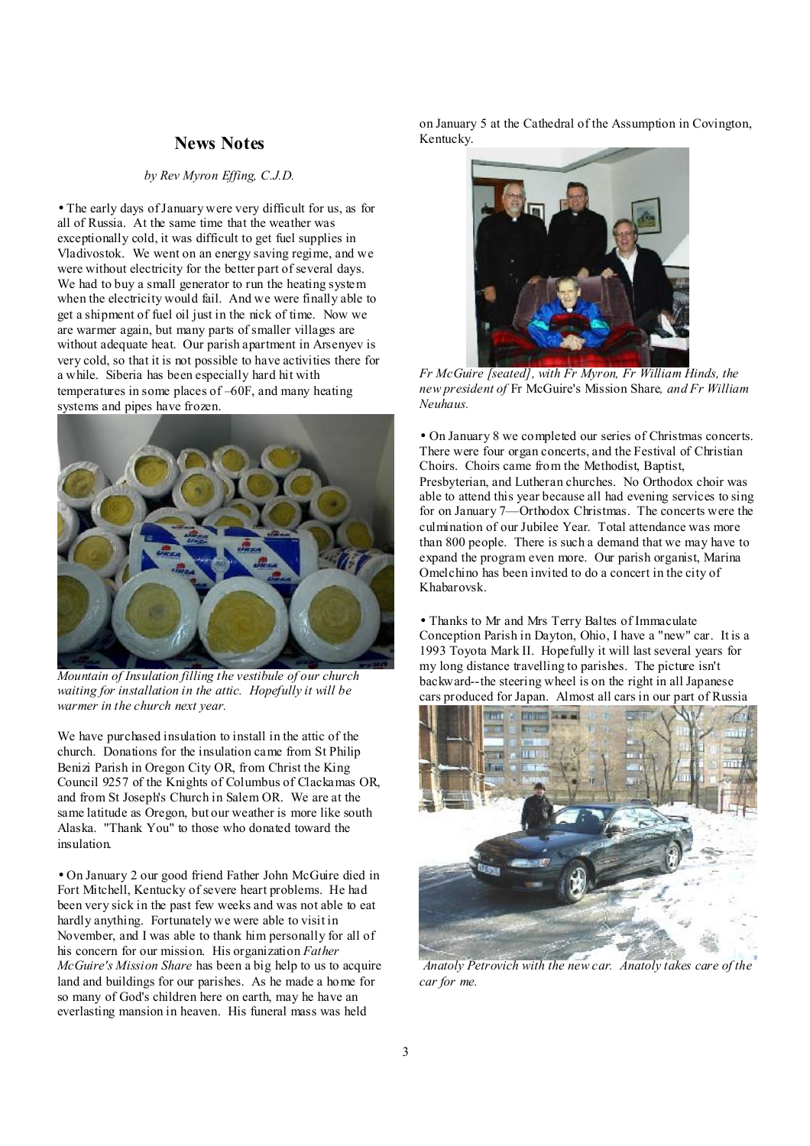## **News Notes**

#### *by Rev Myron Effing, C.J.D.*

• The early days ofJanuary were very difficult for us, as for all of Russia. At the same time that the weather was exceptionally cold, it was difficult to get fuel supplies in Vladivostok. We went on an energy saving regime, and we were without electricity for the better part of several days. We had to buy a small generator to run the heating system when the electricity would fail. And we were finally able to get a shipment of fuel oil just in the nick of time. Now we are warmer again, but many parts of smaller villages are without adequate heat. Our parish apartment in Arsenyev is very cold, so that it is not possible to have activities there for a while. Siberia has been especially hard hit with temperatures in some places of –60F, and many heating systems and pipes have frozen.



*Mountain of Insulation filling the vestibule of our church waiting for installation in the attic. Hopefully it will be warmer in the church next year.* 

We have purchased insulation to install in the attic of the church. Donations for the insulation came from St Philip Benizi Parish in Oregon City OR, from Christ the King Council 9257 of the Knights of Columbus of Clackamas OR, and from St Joseph's Church in Salem OR. We are at the same latitude as Oregon, but our weather is more like south Alaska. "Thank You" to those who donated toward the insulation.

• On January 2 our good friend Father John McGuire died in Fort Mitchell, Kentucky of severe heart problems. He had been very sick in the past few weeks and was not able to eat hardly anything. Fortunately we were able to visit in November, and I was able to thank him personally for all of his concern for our mission. His organization *Father McGuire's Mission Share* has been a big help to us to acquire land and buildings for our parishes. As he made a home for so many of God's children here on earth, may he have an everlasting mansion in heaven. His funeral mass was held

on January 5 at the Cathedral of the Assumption in Covington, Kentucky.



 *Fr McGuire [seated], with Fr Myron, Fr William Hinds, the new president of* Fr McGuire's Mission Share*, and Fr William Neuhaus.* 

• On January 8 we completed our series of Christmas concerts. There were four organ concerts, and the Festival of Christian Choirs. Choirs came from the Methodist, Baptist, Presbyterian, and Lutheran churches. No Orthodox choir was able to attend this year because all had evening services to sing for on January 7—Orthodox Christmas. The concerts were the culmination of our Jubilee Year. Total attendance was more than 800 people. There is such a demand that we may have to expand the program even more. Our parish organist, Marina Omelchino has been invited to do a concert in the city of Khabarovsk.

• Thanks to Mr and Mrs Terry Baltes of Immaculate Conception Parish in Dayton, Ohio, I have a "new" car. It is a 1993 Toyota Mark II. Hopefully it will last several years for my long distance travelling to parishes. The picture isn't backward--the steering wheel is on the right in all Japanese cars produced for Japan. Almost all cars in our part of Russia



*Anatoly Petrovich with the new car. Anatoly takes care of the car for me.*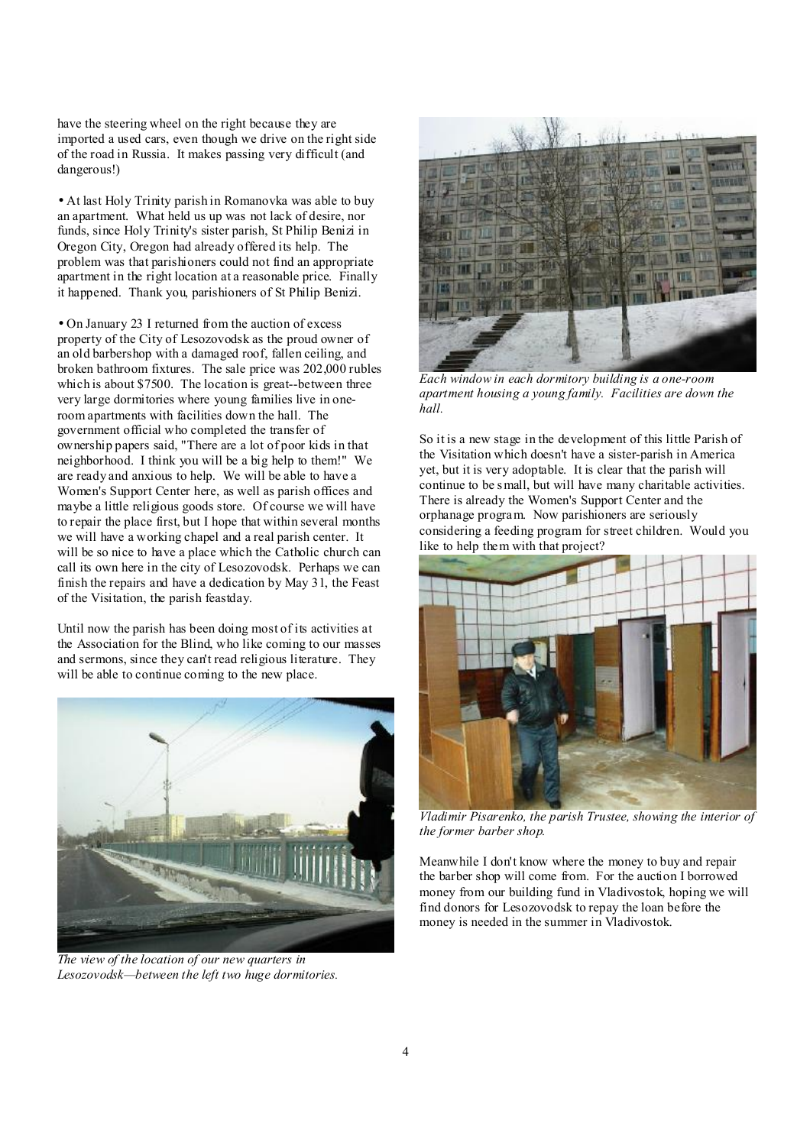have the steering wheel on the right because they are imported a used cars, even though we drive on the right side of the road in Russia. It makes passing very difficult (and dangerous!)

• At last Holy Trinity parish in Romanovka was able to buy an apartment. What held us up was not lack of desire, nor funds, since Holy Trinity's sister parish, St Philip Benizi in Oregon City, Oregon had already offered its help. The problem was that parishioners could not find an appropriate apartment in the right location at a reasonable price. Finally it happened. Thank you, parishioners of St Philip Benizi.

• On January 23 I returned from the auction of excess property of the City of Lesozovodsk as the proud owner of an old barbershop with a damaged roof, fallen ceiling, and broken bathroom fixtures. The sale price was 202,000 rubles which is about \$7500. The location is great--between three very large dormitories where young families live in oneroom apartments with facilities down the hall. The government official who completed the transfer of ownership papers said, "There are a lot of poor kids in that neighborhood. I think you will be a big help to them!" We are ready and anxious to help. We will be able to have a Women's Support Center here, as well as parish offices and maybe a little religious goods store. Of course we will have to repair the place first, but I hope that within several months we will have a working chapel and a real parish center. It will be so nice to have a place which the Catholic church can call its own here in the city of Lesozovodsk. Perhaps we can finish the repairs and have a dedication by May 31, the Feast of the Visitation, the parish feastday.

Until now the parish has been doing most of its activities at the Association for the Blind, who like coming to our masses and sermons, since they can't read religious literature. They will be able to continue coming to the new place.



*The view of the location of our new quarters in Lesozovodsk—between the left two huge dormitories.* 



*Each window in each dormitory building is a one-room apartment housing a young family. Facilities are down the hall.* 

So it is a new stage in the development of this little Parish of the Visitation which doesn't have a sister-parish in America yet, but it is very adoptable. It is clear that the parish will continue to be small, but will have many charitable activities. There is already the Women's Support Center and the orphanage program. Now parishioners are seriously considering a feeding program for street children. Would you like to help them with that project?



*Vladimir Pisarenko, the parish Trustee, showing the interior of the former barber shop.* 

Meanwhile I don't know where the money to buy and repair the barber shop will come from. For the auction I borrowed money from our building fund in Vladivostok, hoping we will find donors for Lesozovodsk to repay the loan before the money is needed in the summer in Vladivostok.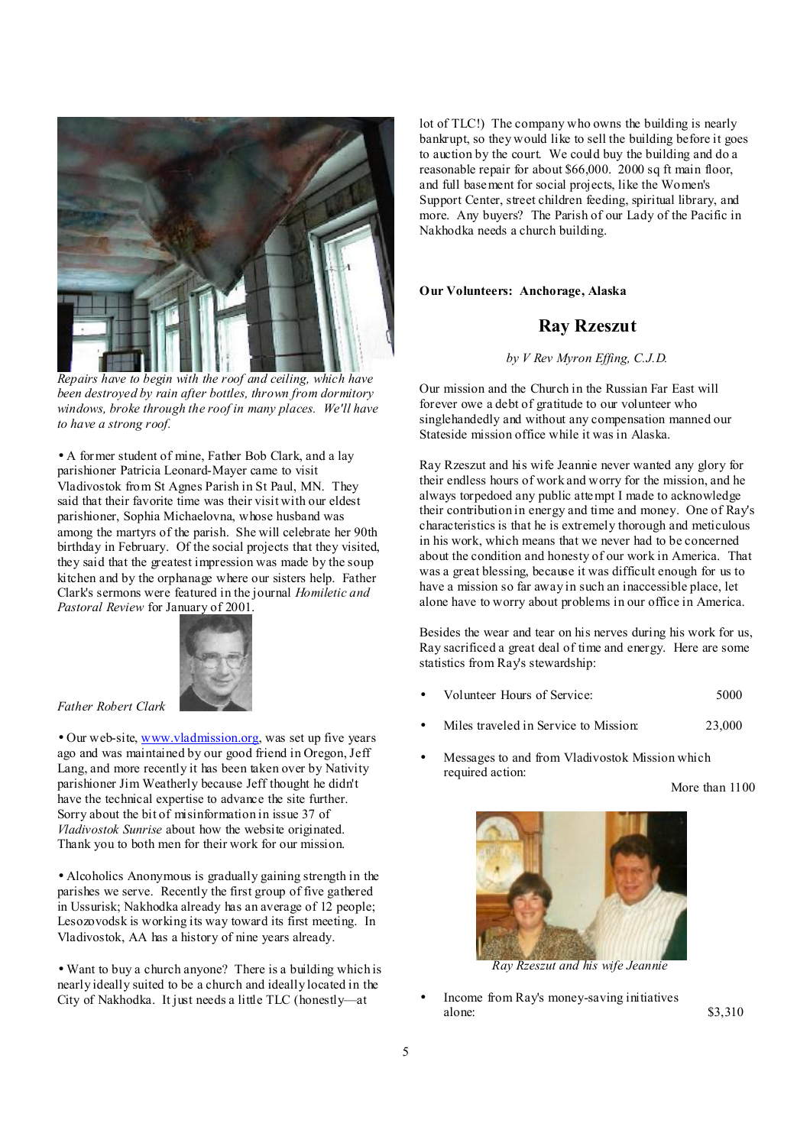

*Repairs have to begin with the roof and ceiling, which have been destroyed by rain after bottles, thrown from dormitory windows, broke through the roof in many places. We'll have to have a strong roof.* 

• A former student of mine, Father Bob Clark, and a lay parishioner Patricia Leonard-Mayer came to visit Vladivostok from St Agnes Parish in St Paul, MN. They said that their favorite time was their visit with our eldest parishioner, Sophia Michaelovna, whose husband was among the martyrs of the parish. She will celebrate her 90th birthday in February. Of the social projects that they visited, they said that the greatest impression was made by the soup kitchen and by the orphanage where our sisters help. Father Clark's sermons were featured in the journal *Homiletic and Pastoral Review* for January of 2001.



*Father Robert Clark* 

• Our web-site, [www.vladmission.org](http://www.vladmission.org), was set up five years ago and was maintained by our good friend in Oregon, Jeff Lang, and more recently it has been taken over by Nativity parishioner Jim Weatherly because Jeff thought he didn't have the technical expertise to advance the site further. Sorry about the bit of misinformation in issue 37 of *Vladivostok Sunrise* about how the website originated. Thank you to both men for their work for our mission.

• Alcoholics Anonymous is gradually gaining strength in the parishes we serve. Recently the first group of five gathered in Ussurisk; Nakhodka already has an average of 12 people; Lesozovodsk is working its way toward its first meeting. In Vladivostok, AA has a history of nine years already.

• Want to buy a church anyone? There is a building which is nearly ideally suited to be a church and ideally located in the City of Nakhodka. It just needs a little TLC (honestly—at

lot of TLC!) The company who owns the building is nearly bankrupt, so they would like to sell the building before it goes to auction by the court. We could buy the building and do a reasonable repair for about \$66,000. 2000 sq ft main floor, and full basement for social projects, like the Women's Support Center, street children feeding, spiritual library, and more. Any buyers? The Parish of our Lady of the Pacific in Nakhodka needs a church building.

**Our Volunteers: Anchorage, Alaska** 

# **Ray Rzeszut**

*by V Rev Myron Effing, C.J.D.* 

Our mission and the Church in the Russian Far East will forever owe a debt of gratitude to our volunteer who singlehandedly and without any compensation manned our Stateside mission office while it was in Alaska.

Ray Rzeszut and his wife Jeannie never wanted any glory for their endless hours of work and worry for the mission, and he always torpedoed any public attempt I made to acknowledge their contribution in energy and time and money. One of Ray's characteristics is that he is extremely thorough and meticulous in his work, which means that we never had to be concerned about the condition and honesty of our work in America. That was a great blessing, because it was difficult enough for us to have a mission so far away in such an inaccessible place, let alone have to worry about problems in our office in America.

Besides the wear and tear on his nerves during his work for us, Ray sacrificed a great deal of time and energy. Here are some statistics from Ray's stewardship:

- Volunteer Hours of Service: 5000
- Miles traveled in Service to Mission: 23,000
- Messages to and from Vladivostok Mission which required action:

More than 1100



 *Ray Rzeszut and his wife Jeannie* 

• Income from Ray's money-saving initiatives alone: \$3,310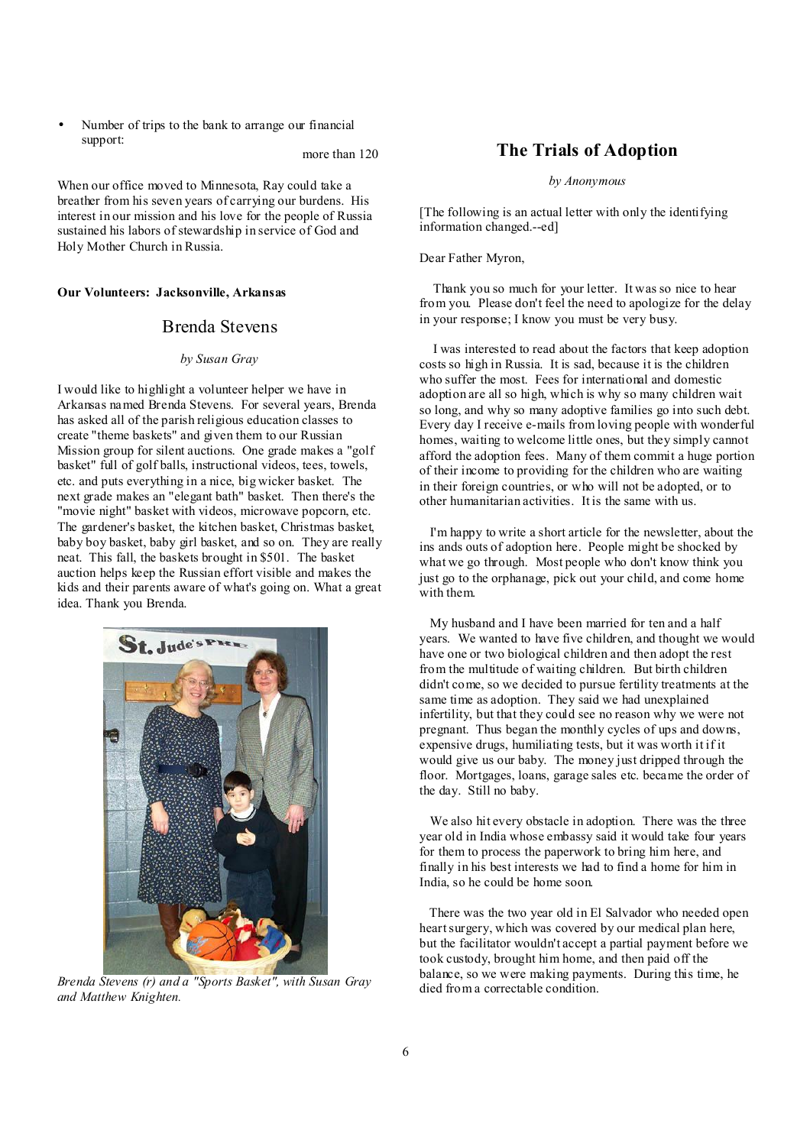• Number of trips to the bank to arrange our financial support:

more than 120

When our office moved to Minnesota, Ray could take a breather from his seven years of carrying our burdens. His interest in our mission and his love for the people of Russia sustained his labors of stewardship in service of God and Holy Mother Church in Russia.

**Our Volunteers: Jacksonville, Arkansas** 

#### Brenda Stevens

#### *by Susan Gray*

I would like to highlight a volunteer helper we have in Arkansas named Brenda Stevens. For several years, Brenda has asked all of the parish religious education classes to create "theme baskets" and given them to our Russian Mission group for silent auctions. One grade makes a "golf basket" full of golf balls, instructional videos, tees, towels, etc. and puts everything in a nice, big wicker basket. The next grade makes an "elegant bath" basket. Then there's the "movie night" basket with videos, microwave popcorn, etc. The gardener's basket, the kitchen basket, Christmas basket, baby boy basket, baby girl basket, and so on. They are really neat. This fall, the baskets brought in \$501. The basket auction helps keep the Russian effort visible and makes the kids and their parents aware of what's going on. What a great idea. Thank you Brenda.



i *Brenda Stevens (r) and a "Sports Basket", with Susan Gray and Matthew Knighten.* 

#### **The Trials of Adoption**

*by Anonymous*

[The following is an actual letter with only the identifying information changed.--ed]

Dear Father Myron,

 Thank you so much for your letter. It was so nice to hear from you. Please don't feel the need to apologize for the delay in your response; I know you must be very busy.

 I was interested to read about the factors that keep adoption costs so high in Russia. It is sad, because it is the children who suffer the most. Fees for international and domestic adoption are all so high, which is why so many children wait so long, and why so many adoptive families go into such debt. Every day I receive e-mails from loving people with wonderful homes, waiting to welcome little ones, but they simply cannot afford the adoption fees. Many of them commit a huge portion of their income to providing for the children who are waiting in their foreign countries, or who will not be adopted, or to other humanitarian activities. It is the same with us.

 I'm happy to write a short article for the newsletter, about the ins ands outs of adoption here. People might be shocked by what we go through. Most people who don't know think you just go to the orphanage, pick out your child, and come home with them.

 My husband and I have been married for ten and a half years. We wanted to have five children, and thought we would have one or two biological children and then adopt the rest from the multitude of waiting children. But birth children didn't come, so we decided to pursue fertility treatments at the same time as adoption. They said we had unexplained infertility, but that they could see no reason why we were not pregnant. Thus began the monthly cycles of ups and downs, expensive drugs, humiliating tests, but it was worth it if it would give us our baby. The money just dripped through the floor. Mortgages, loans, garage sales etc. became the order of the day. Still no baby.

We also hit every obstacle in adoption. There was the three year old in India whose embassy said it would take four years for them to process the paperwork to bring him here, and finally in his best interests we had to find a home for him in India, so he could be home soon.

 There was the two year old in El Salvador who needed open heartsurgery, which was covered by our medical plan here, but the facilitator wouldn't accept a partial payment before we took custody, brought him home, and then paid off the balance, so we were making payments. During this time, he died from a correctable condition.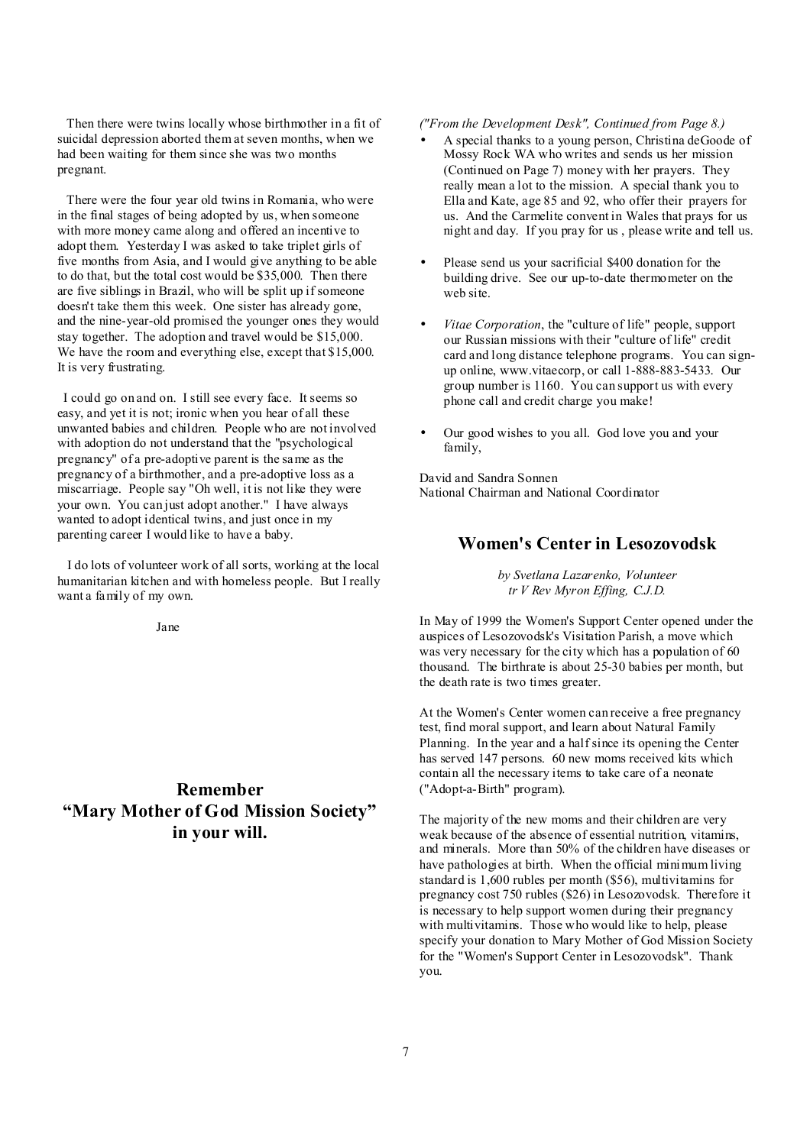Then there were twins locally whose birthmother in a fit of suicidal depression aborted them at seven months, when we had been waiting for them since she was two months pregnant.

There were the four year old twins in Romania, who were in the final stages of being adopted by us, when someone with more money came along and offered an incentive to adopt them. Yesterday I was asked to take triplet girls of five months from Asia, and I would give anything to be able to do that, but the total cost would be \$35,000. Then there are five siblings in Brazil, who will be split up if someone doesn't take them this week. One sister has already gone, and the nine-year-old promised the younger ones they would stay together. The adoption and travel would be \$15,000. We have the room and everything else, except that \$15,000. It is very frustrating.

I could go on and on. I still see every face. It seems so easy, and yet it is not; ironic when you hear of all these unwanted babies and children. People who are not involved with adoption do not understand that the "psychological pregnancy" of a pre-adoptive parent is the same as the pregnancy of a birthmother, and a pre-adoptive loss as a miscarriage. People say "Oh well, it is not like they were your own. You can just adopt another." I have always wanted to adopt identical twins, and just once in my parenting career I would like to have a baby.

I do lots of volunteer work of all sorts, working at the local humanitarian kitchen and with homeless people. But I really want a family of my own.

Jane

# **Remember "Mary Mother of God Mission Society" in your will.**

#### *("From the Development Desk", Continued from Page 8.)*

- A special thanks to a young person, Christina deGoode of Mossy Rock WA who writes and sends us her mission (Continued on Page 7) money with her prayers. They really mean a lot to the mission. A special thank you to Ella and Kate, age 85 and 92, who offer their prayers for us. And the Carmelite convent in Wales that prays for us night and day. If you pray for us , please write and tell us.
- Please send us your sacrificial \$400 donation for the building drive. See our up-to-date thermometer on the web site.
- *Vitae Corporation*, the "culture of life" people, support our Russian missions with their "culture of life" credit card and long distance telephone programs. You can signup online, www.vitaecorp, or call 1-888-883-5433. Our group number is 1160. You can support us with every phone call and credit charge you make!
- Our good wishes to you all. God love you and your family,

David and Sandra Sonnen National Chairman and National Coordinator

#### **Women's Center in Lesozovodsk**

*by Svetlana Lazarenko, Volunteer tr V Rev Myron Effing, C.J.D.* 

In May of 1999 the Women's Support Center opened under the auspices of Lesozovodsk's Visitation Parish, a move which was very necessary for the city which has a population of 60 thousand. The birthrate is about 25-30 babies per month, but the death rate is two times greater.

At the Women's Center women can receive a free pregnancy test, find moral support, and learn about Natural Family Planning. In the year and a half since its opening the Center has served 147 persons. 60 new moms received kits which contain all the necessary items to take care of a neonate ("Adopt-a-Birth" program).

The majority of the new moms and their children are very weak because of the absence of essential nutrition, vitamins, and minerals. More than 50% of the children have diseases or have pathologies at birth. When the official minimum living standard is 1,600 rubles per month (\$56), multivitamins for pregnancy cost 750 rubles (\$26) in Lesozovodsk. Therefore it is necessary to help support women during their pregnancy with multivitamins. Those who would like to help, please specify your donation to Mary Mother of God Mission Society for the "Women's Support Center in Lesozovodsk". Thank you.